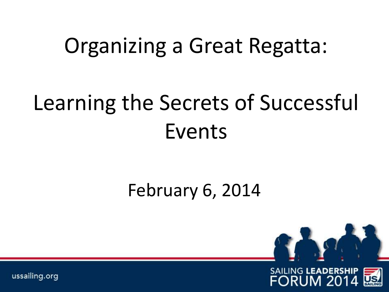# Organizing a Great Regatta:

# Learning the Secrets of Successful Events

### February 6, 2014



ussailing.org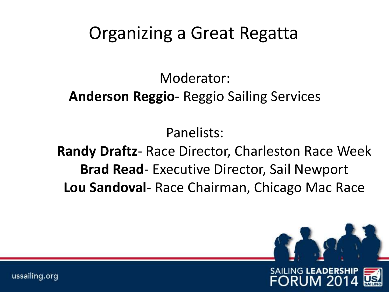# Organizing a Great Regatta

Moderator:

#### **Anderson Reggio**- Reggio Sailing Services

Panelists:

**Randy Draftz**- Race Director, Charleston Race Week **Brad Read**- Executive Director, Sail Newport **Lou Sandoval**- Race Chairman, Chicago Mac Race

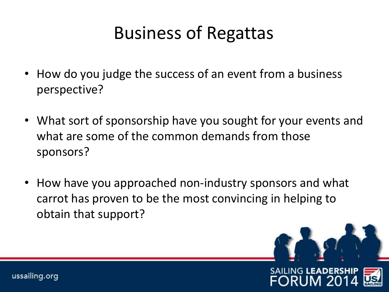# Business of Regattas

- How do you judge the success of an event from a business perspective?
- What sort of sponsorship have you sought for your events and what are some of the common demands from those sponsors?
- How have you approached non-industry sponsors and what carrot has proven to be the most convincing in helping to obtain that support?

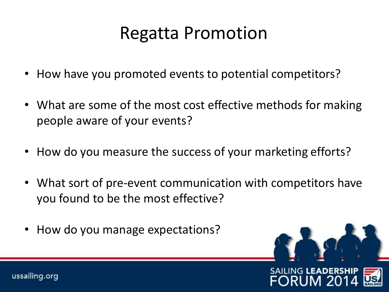# Regatta Promotion

- How have you promoted events to potential competitors?
- What are some of the most cost effective methods for making people aware of your events?
- How do you measure the success of your marketing efforts?
- What sort of pre-event communication with competitors have you found to be the most effective?
- How do you manage expectations?



ussailing.org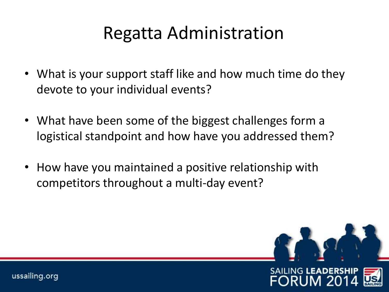# Regatta Administration

- What is your support staff like and how much time do they devote to your individual events?
- What have been some of the biggest challenges form a logistical standpoint and how have you addressed them?
- How have you maintained a positive relationship with competitors throughout a multi-day event?